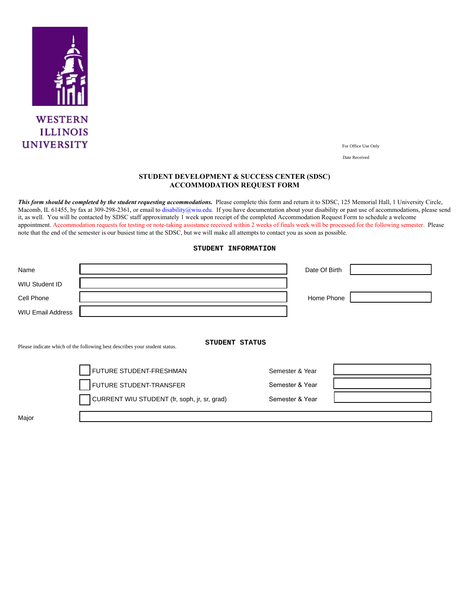

For Office Use Only

Date Received

## **STUDENT DEVELOPMENT & SUCCESS CENTER (SDSC) ACCOMMODATION REQUEST FORM**

This form should be completed by the student requesting accommodations. Please complete this form and return it to SDSC, 125 Memorial Hall, 1 University Circle, Macomb, IL 61455, by fax at 309-298-2361, or email to disability@wiu.edu. If you have documentation about your disability or past use of accommodations, please send it, as well. You will be contacted by SDSC staff approximately 1 week upon receipt of the completed Accommodation Request Form to schedule a welcome appointment. Accommodation requests for testing or note-taking assistance received within 2 weeks of finals week will be processed for the following semester. Please note that the end of the semester is our busiest time at the SDSC, but we will make all attempts to contact you as soon as possible.

## **STUDENT INFORMATION**

| Name                     |                                                                                              | Date Of Birth   |  |
|--------------------------|----------------------------------------------------------------------------------------------|-----------------|--|
| <b>WIU Student ID</b>    |                                                                                              |                 |  |
| Cell Phone               |                                                                                              | Home Phone      |  |
| <b>WIU Email Address</b> |                                                                                              |                 |  |
|                          | STUDENT STATUS<br>Please indicate which of the following best describes your student status. |                 |  |
|                          | FUTURE STUDENT-FRESHMAN                                                                      | Semester & Year |  |
|                          | FUTURE STUDENT-TRANSFER                                                                      | Semester & Year |  |
|                          | CURRENT WIU STUDENT (fr, soph, jr, sr, grad)                                                 | Semester & Year |  |
| Major                    |                                                                                              |                 |  |